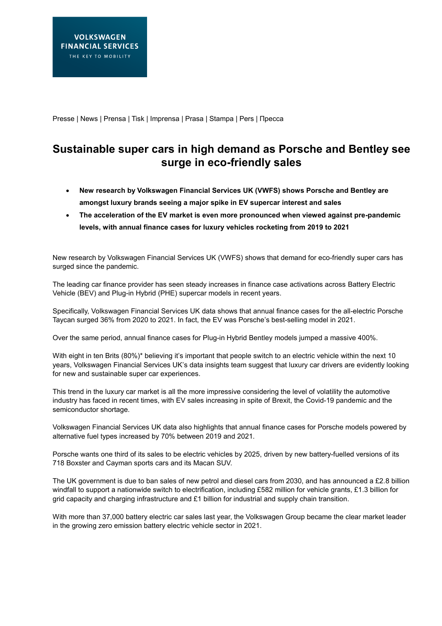Presse | News | Prensa | Tisk | Imprensa | Prasa | Stampa | Pers | Пресса

# **Sustainable super cars in high demand as Porsche and Bentley see surge in eco-friendly sales**

- **New research by Volkswagen Financial Services UK (VWFS) shows Porsche and Bentley are amongst luxury brands seeing a major spike in EV supercar interest and sales**
- **The acceleration of the EV market is even more pronounced when viewed against pre-pandemic levels, with annual finance cases for luxury vehicles rocketing from 2019 to 2021**

New research by Volkswagen Financial Services UK (VWFS) shows that demand for eco-friendly super cars has surged since the pandemic.

The leading car finance provider has seen steady increases in finance case activations across Battery Electric Vehicle (BEV) and Plug-in Hybrid (PHE) supercar models in recent years.

Specifically, Volkswagen Financial Services UK data shows that annual finance cases for the all-electric Porsche Taycan surged 36% from 2020 to 2021. In fact, the EV was Porsche's best-selling model in 2021.

Over the same period, annual finance cases for Plug-in Hybrid Bentley models jumped a massive 400%.

With eight in ten Brits (80%)\* believing it's important that people switch to an electric vehicle within the next 10 years, Volkswagen Financial Services UK's data insights team suggest that luxury car drivers are evidently looking for new and sustainable super car experiences.

This trend in the luxury car market is all the more impressive considering the level of volatility the automotive industry has faced in recent times, with EV sales increasing in spite of Brexit, the Covid-19 pandemic and the semiconductor shortage.

Volkswagen Financial Services UK data also highlights that annual finance cases for Porsche models powered by alternative fuel types increased by 70% between 2019 and 2021.

Porsche wants one third of its sales to be electric vehicles by 2025, driven by new battery-fuelled versions of its 718 Boxster and Cayman sports cars and its Macan SUV.

The UK government is due to ban sales of new petrol and diesel cars from 2030, and has announced a £2.8 billion windfall to support a nationwide switch to electrification, including £582 million for vehicle grants, £1.3 billion for grid capacity and charging infrastructure and £1 billion for industrial and supply chain transition.

With more than 37,000 battery electric car sales last year, the Volkswagen Group became the clear market leader in the growing zero emission battery electric vehicle sector in 2021.